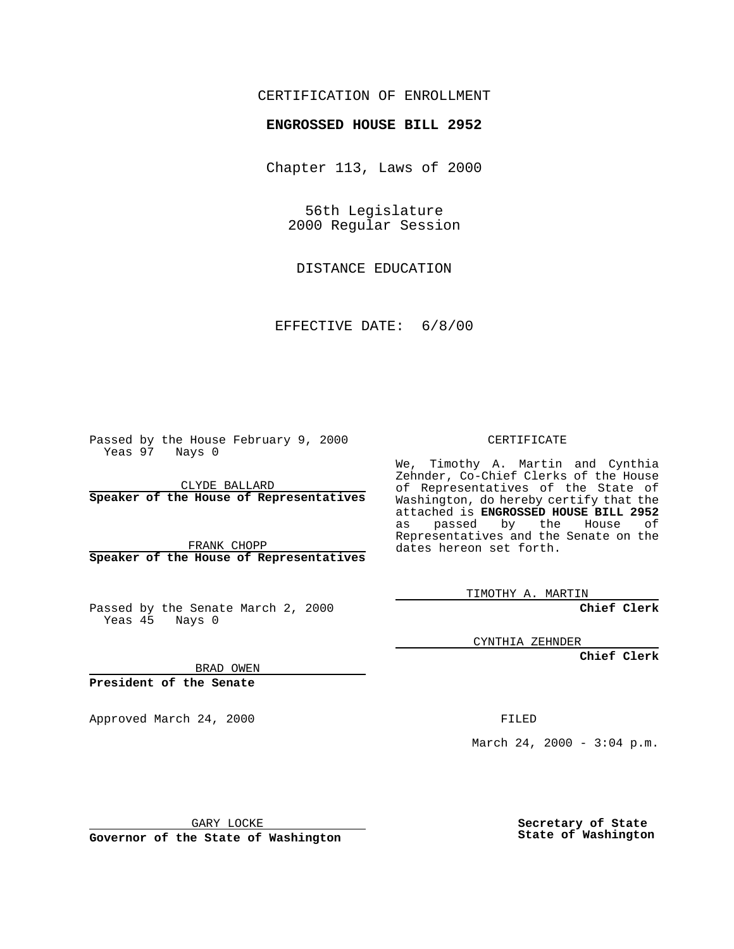## CERTIFICATION OF ENROLLMENT

## **ENGROSSED HOUSE BILL 2952**

Chapter 113, Laws of 2000

56th Legislature 2000 Regular Session

DISTANCE EDUCATION

EFFECTIVE DATE: 6/8/00

Passed by the House February 9, 2000 Yeas 97 Nays 0

CLYDE BALLARD **Speaker of the House of Representatives**

FRANK CHOPP **Speaker of the House of Representatives**

Passed by the Senate March 2, 2000 Yeas 45 Nays 0

CERTIFICATE

We, Timothy A. Martin and Cynthia Zehnder, Co-Chief Clerks of the House of Representatives of the State of Washington, do hereby certify that the attached is **ENGROSSED HOUSE BILL 2952** as passed by the House of Representatives and the Senate on the dates hereon set forth.

TIMOTHY A. MARTIN

**Chief Clerk**

CYNTHIA ZEHNDER

**Chief Clerk**

BRAD OWEN

**President of the Senate**

Approved March 24, 2000 FILED

March 24, 2000 - 3:04 p.m.

GARY LOCKE

**Governor of the State of Washington**

**Secretary of State State of Washington**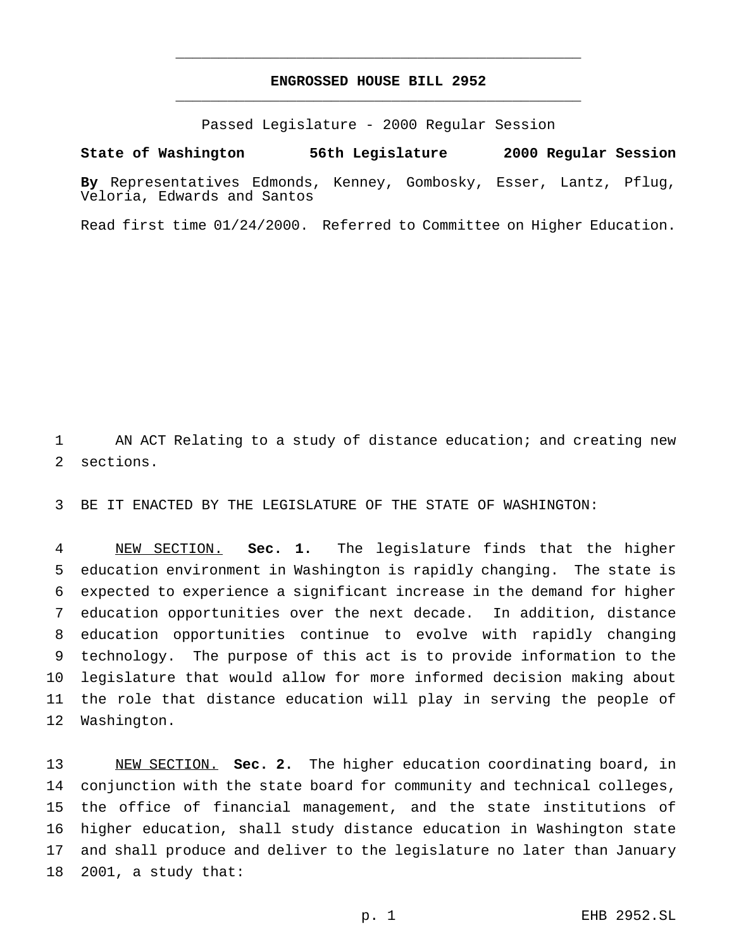## **ENGROSSED HOUSE BILL 2952** \_\_\_\_\_\_\_\_\_\_\_\_\_\_\_\_\_\_\_\_\_\_\_\_\_\_\_\_\_\_\_\_\_\_\_\_\_\_\_\_\_\_\_\_\_\_\_

\_\_\_\_\_\_\_\_\_\_\_\_\_\_\_\_\_\_\_\_\_\_\_\_\_\_\_\_\_\_\_\_\_\_\_\_\_\_\_\_\_\_\_\_\_\_\_

Passed Legislature - 2000 Regular Session

**State of Washington 56th Legislature 2000 Regular Session**

**By** Representatives Edmonds, Kenney, Gombosky, Esser, Lantz, Pflug, Veloria, Edwards and Santos

Read first time 01/24/2000. Referred to Committee on Higher Education.

 AN ACT Relating to a study of distance education; and creating new sections.

BE IT ENACTED BY THE LEGISLATURE OF THE STATE OF WASHINGTON:

 NEW SECTION. **Sec. 1.** The legislature finds that the higher education environment in Washington is rapidly changing. The state is expected to experience a significant increase in the demand for higher education opportunities over the next decade. In addition, distance education opportunities continue to evolve with rapidly changing technology. The purpose of this act is to provide information to the legislature that would allow for more informed decision making about the role that distance education will play in serving the people of Washington.

 NEW SECTION. **Sec. 2.** The higher education coordinating board, in conjunction with the state board for community and technical colleges, the office of financial management, and the state institutions of higher education, shall study distance education in Washington state and shall produce and deliver to the legislature no later than January 2001, a study that: